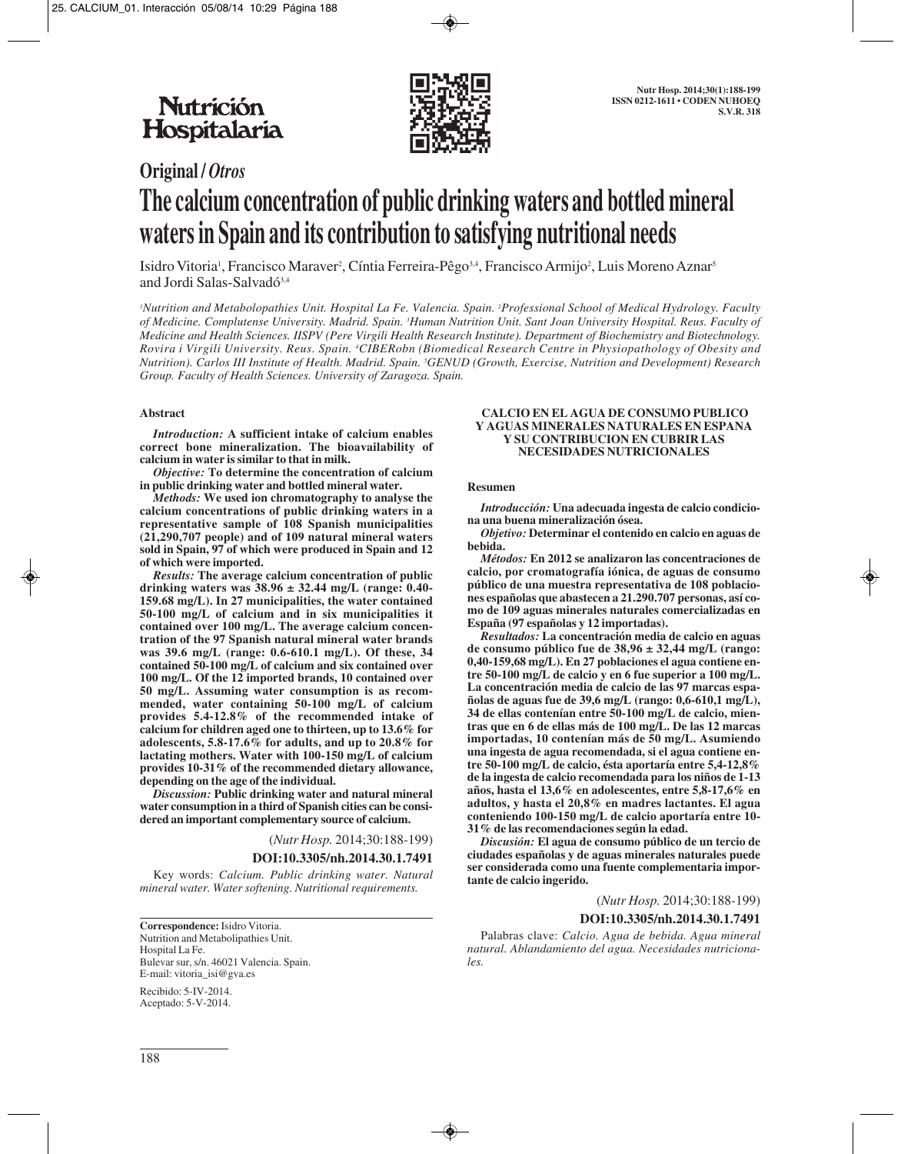

# **Original /** *Otros* **The calcium concentration of public drinking waters and bottled mineral waters in Spain and its contribution to satisfying nutritional needs**

Isidro Vitoria<sup>1</sup>, Francisco Maraver<sup>2</sup>, Cíntia Ferreira-Pêgo<sup>3,4</sup>, Francisco Armijo<sup>2</sup>, Luis Moreno Aznar<sup>s</sup> and Jordi Salas-Salvadó<sup>3,4</sup>

*1 Nutrition and Metabolopathies Unit. Hospital La Fe. Valencia. Spain. 2 Professional School of Medical Hydrology. Faculty of Medicine. Complutense University. Madrid. Spain. 3 Human Nutrition Unit. Sant Joan University Hospital. Reus. Faculty of Medicine and Health Sciences. IISPV (Pere Virgili Health Research Institute). Department of Biochemistry and Biotechnology. Rovira i Virgili University. Reus. Spain. 4 CIBERobn (Biomedical Research Centre in Physiopathology of Obesity and Nutrition). Carlos III Institute of Health. Madrid. Spain. 5 GENUD (Growth, Exercise, Nutrition and Development) Research Group. Faculty of Health Sciences. University of Zaragoza. Spain.*

#### **Abstract**

*Introduction:* **A sufficient intake of calcium enables correct bone mineralization. The bioavailability of calcium in water is similar to that in milk.**

*Objective:* **To determine the concentration of calcium in public drinking water and bottled mineral water.**

*Methods:* **We used ion chromatography to analyse the calcium concentrations of public drinking waters in a representative sample of 108 Spanish municipalities (21,290,707 people) and of 109 natural mineral waters sold in Spain, 97 of which were produced in Spain and 12 of which were imported.**

*Results:* **The average calcium concentration of public drinking waters was 38.96 ± 32.44 mg/L (range: 0.40- 159.68 mg/L). In 27 municipalities, the water contained 50-100 mg/L of calcium and in six municipalities it contained over 100 mg/L. The average calcium concentration of the 97 Spanish natural mineral water brands was 39.6 mg/L (range: 0.6-610.1 mg/L). Of these, 34 contained 50-100 mg/L of calcium and six contained over 100 mg/L. Of the 12 imported brands, 10 contained over 50 mg/L. Assuming water consumption is as recommended, water containing 50-100 mg/L of calcium provides 5.4-12.8% of the recommended intake of calcium for children aged one to thirteen, up to 13.6% for adolescents, 5.8-17.6% for adults, and up to 20.8% for lactating mothers. Water with 100-150 mg/L of calcium provides 10-31% of the recommended dietary allowance, depending on the age of the individual.**

*Discussion:* **Public drinking water and natural mineral water consumption in a third of Spanish cities can be considered an important complementary source of calcium.**

## (*Nutr Hosp.* 2014;30:188-199)

#### **DOI:10.3305/nh.2014.30.1.7491**

Key words: *Calcium. Public drinking water. Natural mineral water. Water softening. Nutritional requirements.*

**Correspondence:** Isidro Vitoria. Nutrition and Metabolipathies Unit. Hospital La Fe. Bulevar sur, s/n. 46021 Valencia. Spain. E-mail: vitoria\_isi@gva.es

Recibido: 5-IV-2014. Aceptado: 5-V-2014.

#### **CALCIO EN EL AGUA DE CONSUMO PUBLICO Y AGUAS MINERALES NATURALES EN ESPANA Y SU CONTRIBUCION EN CUBRIR LAS NECESIDADES NUTRICIONALES**

#### **Resumen**

*Introducción:* **Una adecuada ingesta de calcio condiciona una buena mineralización ósea.**

*Objetivo:* **Determinar el contenido en calcio en aguas de bebida.**

*Métodos:* **En 2012 se analizaron las concentraciones de calcio, por cromatografía iónica, de aguas de consumo público de una muestra representativa de 108 poblaciones españolas que abastecen a 21.290.707 personas, así como de 109 aguas minerales naturales comercializadas en España (97 españolas y 12 importadas).**

*Resultados:* **La concentración media de calcio en aguas de consumo público fue de 38,96 ± 32,44 mg/L (rango: 0,40-159,68 mg/L). En 27 poblaciones el agua contiene entre 50-100 mg/L de calcio y en 6 fue superior a 100 mg/L. La concentración media de calcio de las 97 marcas españolas de aguas fue de 39,6 mg/L (rango: 0,6-610,1 mg/L), 34 de ellas contenían entre 50-100 mg/L de calcio, mientras que en 6 de ellas más de 100 mg/L. De las 12 marcas importadas, 10 contenían más de 50 mg/L. Asumiendo una ingesta de agua recomendada, si el agua contiene entre 50-100 mg/L de calcio, ésta aportaría entre 5,4-12,8% de la ingesta de calcio recomendada para los niños de 1-13 años, hasta el 13,6% en adolescentes, entre 5,8-17,6% en adultos, y hasta el 20,8% en madres lactantes. El agua conteniendo 100-150 mg/L de calcio aportaría entre 10- 31% de las recomendaciones según la edad.**

*Discusión:* **El agua de consumo público de un tercio de ciudades españolas y de aguas minerales naturales puede ser considerada como una fuente complementaria importante de calcio ingerido.**

#### (*Nutr Hosp.* 2014;30:188-199)

#### **DOI:10.3305/nh.2014.30.1.7491**

Palabras clave: *Calcio. Agua de bebida. Agua mineral natural. Ablandamiento del agua. Necesidades nutricionales.*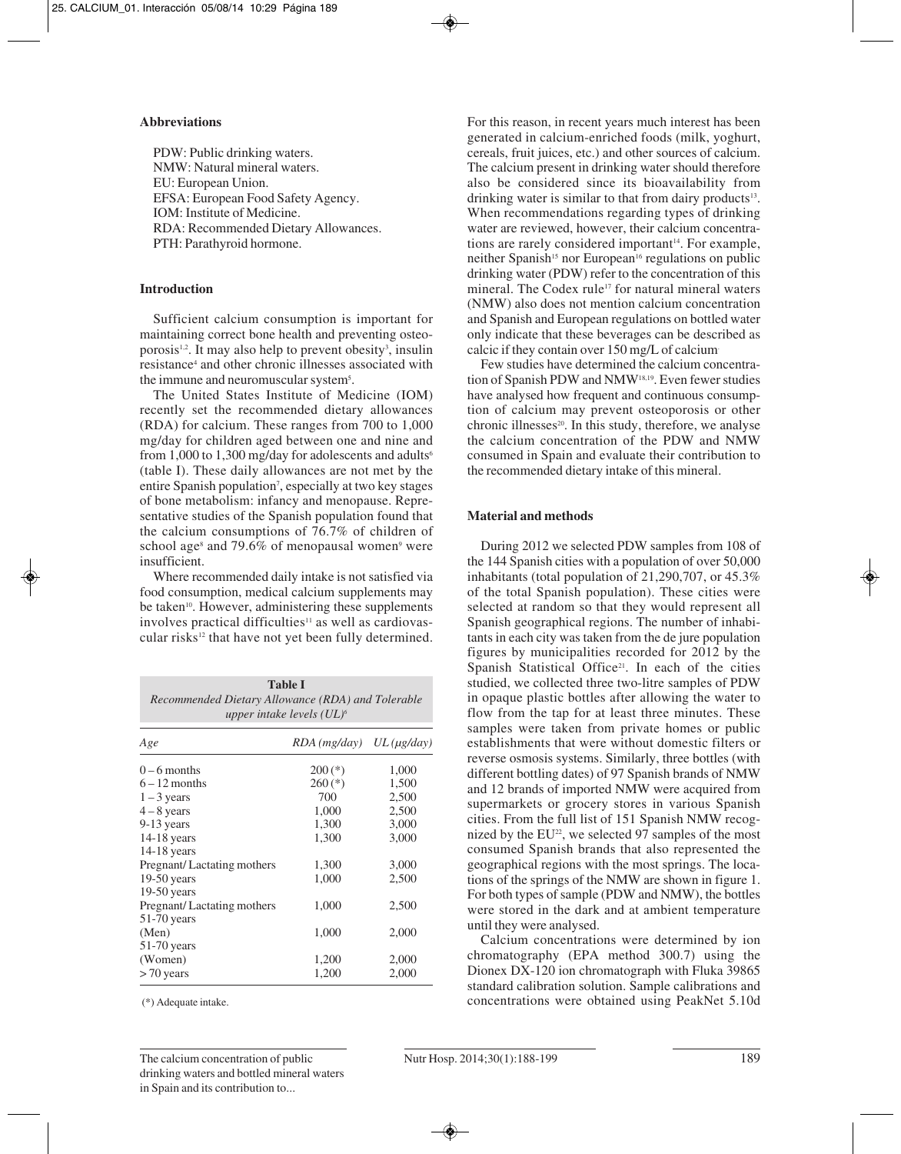#### **Abbreviations**

PDW: Public drinking waters. NMW: Natural mineral waters. EU: European Union. EFSA: European Food Safety Agency. IOM: Institute of Medicine. RDA: Recommended Dietary Allowances. PTH: Parathyroid hormone.

## **Introduction**

Sufficient calcium consumption is important for maintaining correct bone health and preventing osteoporosis<sup>1,2</sup>. It may also help to prevent obesity<sup>3</sup>, insulin resistance4 and other chronic illnesses associated with the immune and neuromuscular system<sup>5</sup>.

The United States Institute of Medicine (IOM) recently set the recommended dietary allowances (RDA) for calcium. These ranges from 700 to 1,000 mg/day for children aged between one and nine and from 1,000 to 1,300 mg/day for adolescents and adults<sup>6</sup> (table I). These daily allowances are not met by the entire Spanish population<sup>7</sup>, especially at two key stages of bone metabolism: infancy and menopause. Representative studies of the Spanish population found that the calcium consumptions of 76.7% of children of school age<sup>8</sup> and 79.6% of menopausal women<sup>9</sup> were insufficient.

Where recommended daily intake is not satisfied via food consumption, medical calcium supplements may be taken<sup>10</sup>. However, administering these supplements involves practical difficulties<sup>11</sup> as well as cardiovascular risks<sup>12</sup> that have not yet been fully determined.

| Recommended Dietary Allowance (RDA) and Tolerable | <b>Table I</b><br>upper intake levels $(UL)^6$ |       |
|---------------------------------------------------|------------------------------------------------|-------|
| Age                                               | $RDA$ (mg/day) $UL$ (µg/day)                   |       |
| $0 - 6$ months                                    | $200(*)$                                       | 1,000 |
| $6 - 12$ months                                   | $260$ (*)                                      | 1,500 |
| $1 - 3$ years                                     | 700                                            | 2,500 |
| $4 - 8$ years                                     | 1,000                                          | 2,500 |
| $9-13$ years                                      | 1,300                                          | 3,000 |
| $14-18$ years                                     | 1,300                                          | 3,000 |
| $14-18$ years                                     |                                                |       |
| Pregnant/Lactating mothers                        | 1,300                                          | 3,000 |
| $19-50$ years                                     | 1,000                                          | 2,500 |
| $19-50$ years                                     |                                                |       |
| Pregnant/Lactating mothers                        | 1,000                                          | 2,500 |
| $51-70$ years                                     |                                                |       |
| (Men)                                             | 1,000                                          | 2,000 |
| $51-70$ years                                     |                                                |       |
| (Women)                                           | 1,200                                          | 2,000 |
| $>70$ years                                       | 1,200                                          | 2,000 |

(\*) Adequate intake.

For this reason, in recent years much interest has been generated in calcium-enriched foods (milk, yoghurt, cereals, fruit juices, etc.) and other sources of calcium. The calcium present in drinking water should therefore also be considered since its bioavailability from drinking water is similar to that from dairy products<sup>13</sup>. When recommendations regarding types of drinking water are reviewed, however, their calcium concentrations are rarely considered important $14$ . For example, neither Spanish<sup>15</sup> nor European<sup>16</sup> regulations on public drinking water (PDW) refer to the concentration of this mineral. The Codex rule<sup>17</sup> for natural mineral waters (NMW) also does not mention calcium concentration and Spanish and European regulations on bottled water only indicate that these beverages can be described as calcic if they contain over 150 mg/L of calcium.

Few studies have determined the calcium concentration of Spanish PDW and NMW18,19. Even fewer studies have analysed how frequent and continuous consumption of calcium may prevent osteoporosis or other chronic illnesses $20$ . In this study, therefore, we analyse the calcium concentration of the PDW and NMW consumed in Spain and evaluate their contribution to the recommended dietary intake of this mineral.

## **Material and methods**

During 2012 we selected PDW samples from 108 of the 144 Spanish cities with a population of over 50,000 inhabitants (total population of 21,290,707, or 45.3% of the total Spanish population). These cities were selected at random so that they would represent all Spanish geographical regions. The number of inhabitants in each city was taken from the de jure population figures by municipalities recorded for 2012 by the Spanish Statistical Office<sup>21</sup>. In each of the cities studied, we collected three two-litre samples of PDW in opaque plastic bottles after allowing the water to flow from the tap for at least three minutes. These samples were taken from private homes or public establishments that were without domestic filters or reverse osmosis systems. Similarly, three bottles (with different bottling dates) of 97 Spanish brands of NMW and 12 brands of imported NMW were acquired from supermarkets or grocery stores in various Spanish cities. From the full list of 151 Spanish NMW recognized by the EU<sup>22</sup>, we selected 97 samples of the most consumed Spanish brands that also represented the geographical regions with the most springs. The locations of the springs of the NMW are shown in figure 1. For both types of sample (PDW and NMW), the bottles were stored in the dark and at ambient temperature until they were analysed.

Calcium concentrations were determined by ion chromatography (EPA method 300.7) using the Dionex DX-120 ion chromatograph with Fluka 39865 standard calibration solution. Sample calibrations and concentrations were obtained using PeakNet 5.10d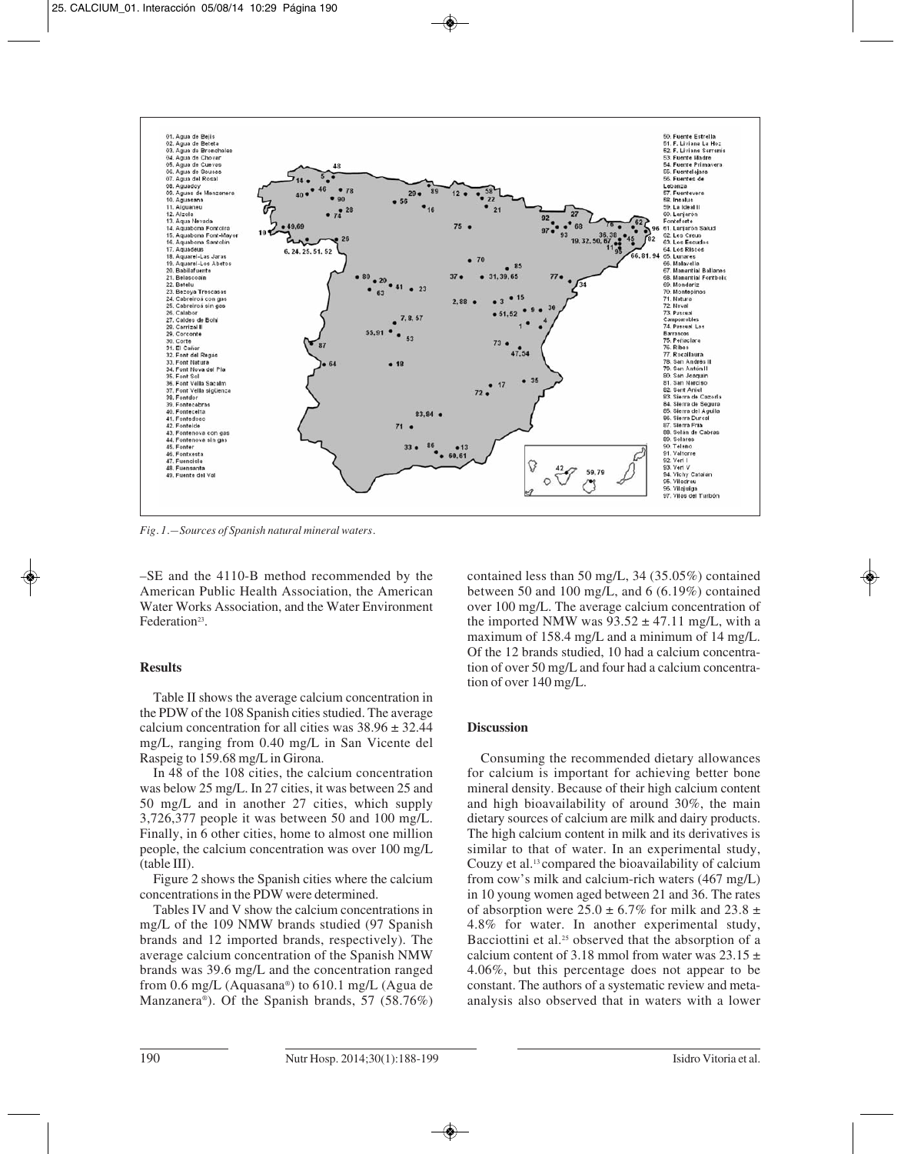

*Fig. 1.—Sources of Spanish natural mineral waters.*

–SE and the 4110-B method recommended by the American Public Health Association, the American Water Works Association, and the Water Environment Federation<sup>23</sup>.

## **Results**

Table II shows the average calcium concentration in the PDW of the 108 Spanish cities studied. The average calcium concentration for all cities was  $38.96 \pm 32.44$ mg/L, ranging from 0.40 mg/L in San Vicente del Raspeig to 159.68 mg/L in Girona.

In 48 of the 108 cities, the calcium concentration was below 25 mg/L. In 27 cities, it was between 25 and 50 mg/L and in another 27 cities, which supply 3,726,377 people it was between 50 and 100 mg/L. Finally, in 6 other cities, home to almost one million people, the calcium concentration was over 100 mg/L (table III).

Figure 2 shows the Spanish cities where the calcium concentrations in the PDW were determined.

Tables IV and V show the calcium concentrations in mg/L of the 109 NMW brands studied (97 Spanish brands and 12 imported brands, respectively). The average calcium concentration of the Spanish NMW brands was 39.6 mg/L and the concentration ranged from 0.6 mg/L (Aquasana®) to 610.1 mg/L (Agua de Manzanera®). Of the Spanish brands, 57 (58.76%) contained less than 50 mg/L, 34 (35.05%) contained between 50 and 100 mg/L, and 6 (6.19%) contained over 100 mg/L. The average calcium concentration of the imported NMW was  $93.52 \pm 47.11$  mg/L, with a maximum of 158.4 mg/L and a minimum of 14 mg/L. Of the 12 brands studied, 10 had a calcium concentration of over 50 mg/L and four had a calcium concentration of over 140 mg/L.

# **Discussion**

Consuming the recommended dietary allowances for calcium is important for achieving better bone mineral density. Because of their high calcium content and high bioavailability of around 30%, the main dietary sources of calcium are milk and dairy products. The high calcium content in milk and its derivatives is similar to that of water. In an experimental study, Couzy et al.13 compared the bioavailability of calcium from cow's milk and calcium-rich waters (467 mg/L) in 10 young women aged between 21 and 36. The rates of absorption were  $25.0 \pm 6.7\%$  for milk and  $23.8 \pm$ 4.8% for water. In another experimental study, Bacciottini et al.<sup>25</sup> observed that the absorption of a calcium content of 3.18 mmol from water was  $23.15 \pm$ 4.06%, but this percentage does not appear to be constant. The authors of a systematic review and metaanalysis also observed that in waters with a lower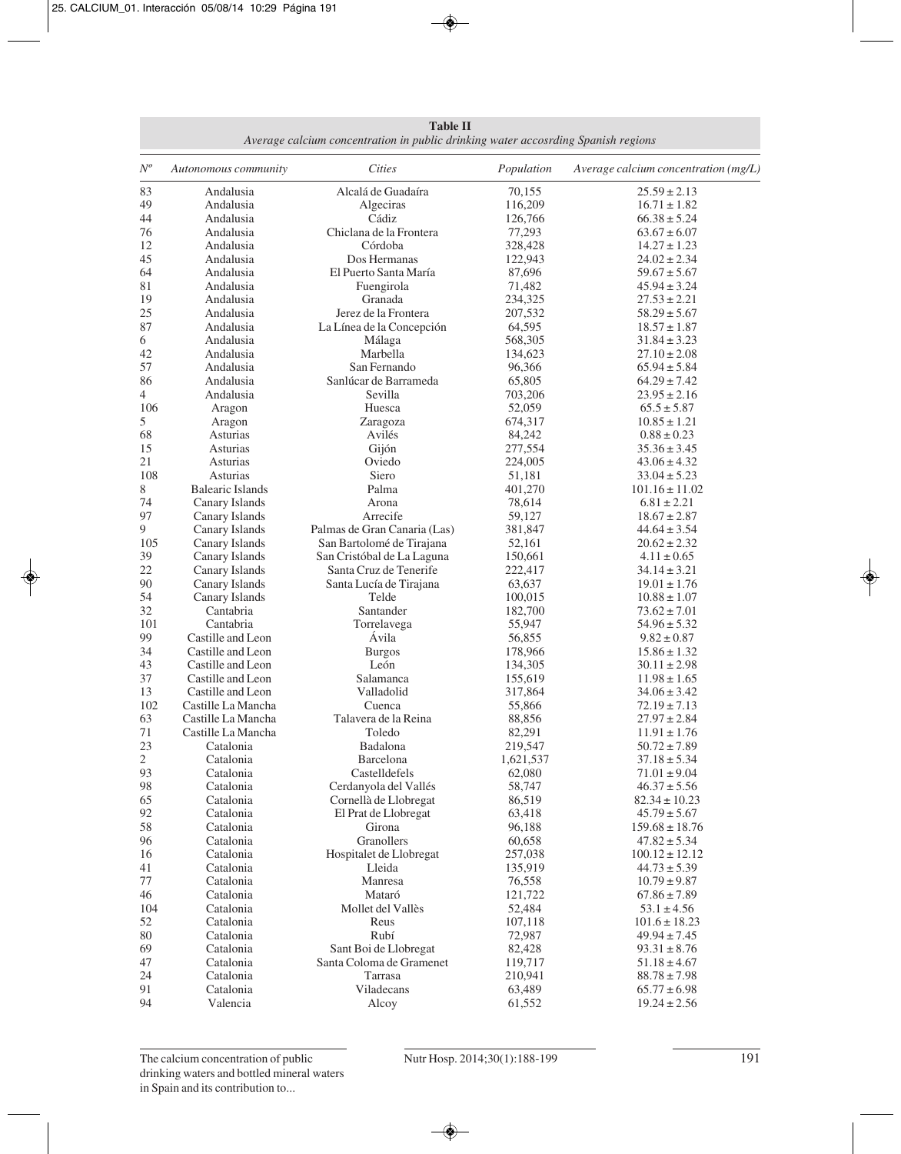**Table II** *Average calcium concentration in public drinking water accosrding Spanish regions*

| $N^o$        | Autonomous community                   | <b>Cities</b>                | Population         | Average calcium concentration (mg/L) |
|--------------|----------------------------------------|------------------------------|--------------------|--------------------------------------|
| 83           | Andalusia                              | Alcalá de Guadaíra           | 70,155             | $25.59 \pm 2.13$                     |
| 49           | Andalusia                              | Algeciras                    | 116,209            | $16.71 \pm 1.82$                     |
| 44           | Andalusia                              | Cádiz                        | 126,766            | $66.38 \pm 5.24$                     |
| 76           | Andalusia                              | Chiclana de la Frontera      | 77,293             | $63.67 \pm 6.07$                     |
| 12           | Andalusia                              | Córdoba                      | 328,428            | $14.27 \pm 1.23$                     |
| 45           | Andalusia                              | Dos Hermanas                 | 122,943            | $24.02 \pm 2.34$                     |
| 64           | Andalusia                              | El Puerto Santa María        | 87,696             | $59.67 \pm 5.67$                     |
| 81           | Andalusia                              | Fuengirola                   | 71,482             | $45.94 \pm 3.24$                     |
| 19           | Andalusia                              | Granada                      | 234,325            | $27.53 \pm 2.21$                     |
| 25           | Andalusia                              | Jerez de la Frontera         | 207,532            | $58.29 \pm 5.67$                     |
| 87           | Andalusia                              | La Línea de la Concepción    | 64,595             | $18.57 \pm 1.87$                     |
| 6            | Andalusia                              | Málaga                       | 568,305            | $31.84 \pm 3.23$                     |
| 42           | Andalusia                              | Marbella                     | 134,623            | $27.10 \pm 2.08$                     |
| 57           | Andalusia                              | San Fernando                 | 96,366             | $65.94 \pm 5.84$                     |
| 86           | Andalusia                              | Sanlúcar de Barrameda        | 65,805             | $64.29 \pm 7.42$                     |
| 4            | Andalusia                              | Sevilla                      | 703,206            | $23.95 \pm 2.16$                     |
| 106          | Aragon                                 | Huesca                       | 52,059             | $65.5 \pm 5.87$                      |
| 5            | Aragon                                 | Zaragoza                     | 674,317            | $10.85 \pm 1.21$                     |
| 68           | Asturias                               | Avilés                       | 84,242             | $0.88 \pm 0.23$                      |
| 15           | Asturias                               | Gijón                        | 277,554            | $35.36 \pm 3.45$                     |
| 21           | Asturias                               | Oviedo                       | 224,005            | $43.06 \pm 4.32$                     |
| 108          | Asturias                               | Siero                        | 51,181             | $33.04 \pm 5.23$                     |
| 8            | <b>Balearic Islands</b>                | Palma                        | 401,270            | $101.16 \pm 11.02$                   |
| 74           | Canary Islands                         | Arona                        | 78,614             | $6.81 \pm 2.21$                      |
| 97           | Canary Islands                         | Arrecife                     | 59,127             | $18.67 \pm 2.87$                     |
| 9            | Canary Islands                         | Palmas de Gran Canaria (Las) | 381,847            | $44.64 \pm 3.54$                     |
| 105          | Canary Islands                         | San Bartolomé de Tirajana    | 52,161             | $20.62 \pm 2.32$                     |
| 39           | Canary Islands                         | San Cristóbal de La Laguna   | 150,661            | $4.11 \pm 0.65$                      |
| 22           | Canary Islands                         | Santa Cruz de Tenerife       | 222,417            | $34.14 \pm 3.21$                     |
| 90           | Canary Islands                         | Santa Lucía de Tirajana      | 63,637             | $19.01 \pm 1.76$                     |
| 54           | Canary Islands                         | Telde                        | 100,015            | $10.88 \pm 1.07$                     |
| 32           | Cantabria                              | Santander                    | 182,700            | $73.62 \pm 7.01$                     |
| 101<br>99    | Cantabria                              | Torrelavega<br>Ávila         | 55,947             | $54.96 \pm 5.32$                     |
| 34           | Castille and Leon<br>Castille and Leon |                              | 56,855             | $9.82 \pm 0.87$                      |
| 43           | Castille and Leon                      | <b>Burgos</b><br>León        | 178,966            | $15.86 \pm 1.32$                     |
| 37           | Castille and Leon                      | Salamanca                    | 134,305<br>155,619 | $30.11 \pm 2.98$<br>$11.98 \pm 1.65$ |
| 13           | Castille and Leon                      | Valladolid                   | 317,864            | $34.06 \pm 3.42$                     |
| 102          | Castille La Mancha                     | Cuenca                       | 55,866             | $72.19 \pm 7.13$                     |
| 63           | Castille La Mancha                     | Talavera de la Reina         | 88,856             | $27.97 \pm 2.84$                     |
| 71           | Castille La Mancha                     | Toledo                       | 82,291             | $11.91 \pm 1.76$                     |
| 23           | Catalonia                              | Badalona                     | 219,547            | $50.72 \pm 7.89$                     |
| $\mathbf{2}$ | Catalonia                              | Barcelona                    | 1,621,537          | $37.18 \pm 5.34$                     |
| 93           | Catalonia                              | Castelldefels                | 62,080             | $71.01 \pm 9.04$                     |
| 98           | Catalonia                              | Cerdanyola del Vallés        | 58,747             | $46.37 \pm 5.56$                     |
| 65           | Catalonia                              | Cornellà de Llobregat        | 86,519             | $82.34 \pm 10.23$                    |
| 92           | Catalonia                              | El Prat de Llobregat         | 63,418             | $45.79 \pm 5.67$                     |
| 58           | Catalonia                              | Girona                       | 96,188             | $159.68 \pm 18.76$                   |
| 96           | Catalonia                              | Granollers                   | 60,658             | $47.82 \pm 5.34$                     |
| 16           | Catalonia                              | Hospitalet de Llobregat      | 257,038            | $100.12 \pm 12.12$                   |
| 41           | Catalonia                              | Lleida                       | 135,919            | $44.73 \pm 5.39$                     |
| 77           | Catalonia                              | Manresa                      | 76,558             | $10.79 \pm 9.87$                     |
| 46           | Catalonia                              | Mataró                       | 121,722            | $67.86 \pm 7.89$                     |
| 104          | Catalonia                              | Mollet del Vallès            | 52,484             | $53.1 \pm 4.56$                      |
| 52           | Catalonia                              | Reus                         | 107,118            | $101.6 \pm 18.23$                    |
| 80           | Catalonia                              | Rubí                         | 72,987             | $49.94 \pm 7.45$                     |
| 69           | Catalonia                              | Sant Boi de Llobregat        | 82,428             | $93.31 \pm 8.76$                     |
| 47           | Catalonia                              | Santa Coloma de Gramenet     | 119,717            | $51.18 \pm 4.67$                     |
| 24           | Catalonia                              | Tarrasa                      | 210,941            | $88.78 \pm 7.98$                     |
| 91           | Catalonia                              | Viladecans                   | 63,489             | $65.77 \pm 6.98$                     |
| 94           | Valencia                               | Alcoy                        | 61,552             | $19.24 \pm 2.56$                     |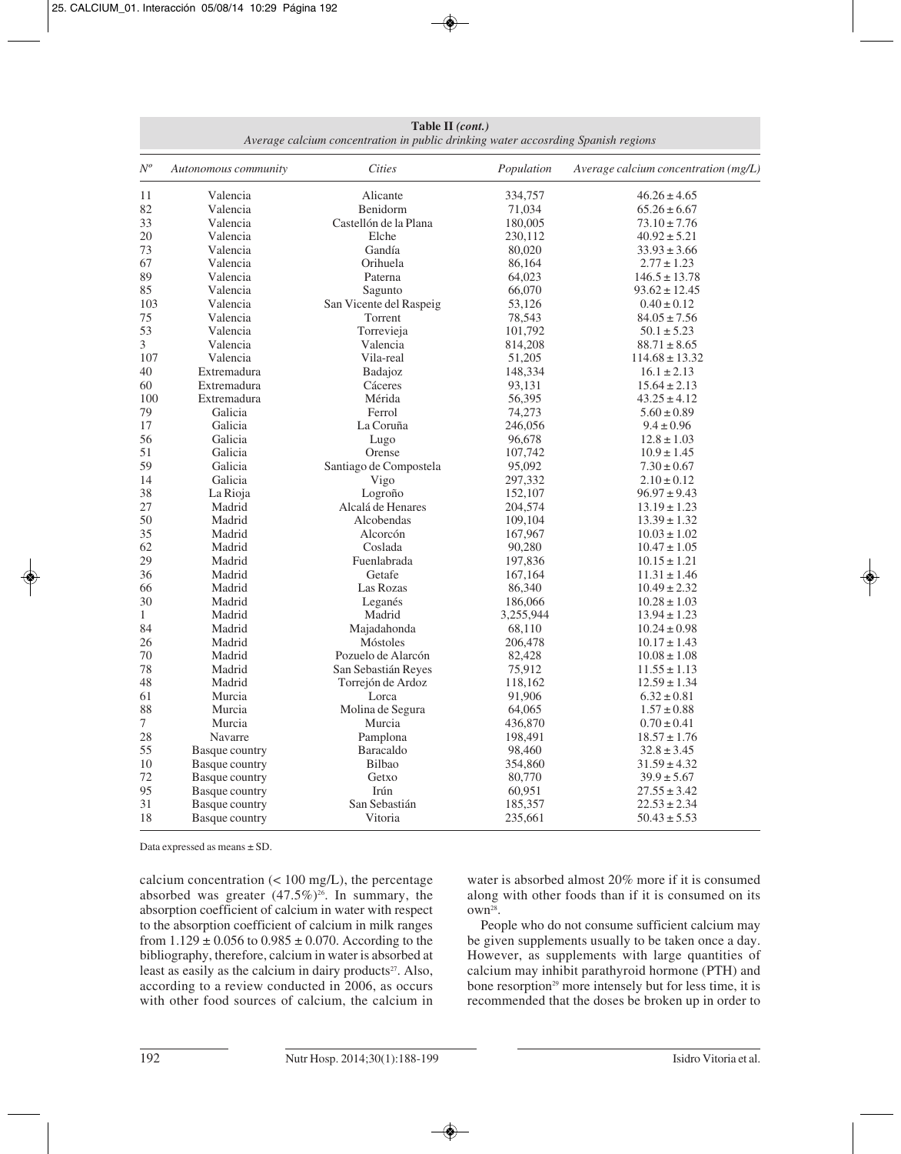**Table II** *(cont.) Average calcium concentration in public drinking water accosrding Spanish regions*

| $N^o$        | Autonomous community  | <b>Cities</b>           | Population | Average calcium concentration (mg/L) |
|--------------|-----------------------|-------------------------|------------|--------------------------------------|
| 11           | Valencia              | Alicante                | 334,757    | $46.26 \pm 4.65$                     |
| 82           | Valencia              | Benidorm                | 71,034     | $65.26 \pm 6.67$                     |
| 33           | Valencia              | Castellón de la Plana   | 180,005    | $73.10 \pm 7.76$                     |
| 20           | Valencia              | Elche                   | 230,112    | $40.92 \pm 5.21$                     |
| 73           | Valencia              | Gandía                  | 80,020     | $33.93 \pm 3.66$                     |
| 67           | Valencia              | Orihuela                | 86,164     | $2.77 \pm 1.23$                      |
| 89           | Valencia              | Paterna                 | 64,023     | $146.5 \pm 13.78$                    |
| 85           | Valencia              | Sagunto                 | 66,070     | $93.62 \pm 12.45$                    |
| 103          | Valencia              | San Vicente del Raspeig | 53,126     | $0.40 \pm 0.12$                      |
| 75           | Valencia              | Torrent                 | 78,543     | $84.05 \pm 7.56$                     |
| 53           | Valencia              | Torrevieja              | 101,792    | $50.1 \pm 5.23$                      |
| 3            | Valencia              | Valencia                | 814,208    | $88.71 \pm 8.65$                     |
| 107          | Valencia              | Vila-real               | 51,205     | $114.68 \pm 13.32$                   |
| 40           | Extremadura           | Badajoz                 | 148,334    | $16.1 \pm 2.13$                      |
| 60           | Extremadura           | Cáceres                 | 93,131     | $15.64 \pm 2.13$                     |
| 100          | Extremadura           | Mérida                  | 56,395     | $43.25 \pm 4.12$                     |
| 79           | Galicia               | Ferrol                  | 74,273     | $5.60 \pm 0.89$                      |
| 17           | Galicia               | La Coruña               | 246,056    | $9.4 \pm 0.96$                       |
| 56           | Galicia               | Lugo                    | 96,678     | $12.8 \pm 1.03$                      |
| 51           | Galicia               | Orense                  | 107,742    | $10.9 \pm 1.45$                      |
| 59           | Galicia               | Santiago de Compostela  | 95,092     | $7.30 \pm 0.67$                      |
| 14           | Galicia               | Vigo                    | 297,332    |                                      |
| 38           |                       | Logroño                 | 152,107    | $2.10 \pm 0.12$                      |
| 27           | La Rioja<br>Madrid    | Alcalá de Henares       | 204,574    | $96.97 \pm 9.43$                     |
| 50           | Madrid                | Alcobendas              |            | $13.19 \pm 1.23$                     |
| 35           | Madrid                | Alcorcón                | 109,104    | $13.39 \pm 1.32$                     |
|              |                       |                         | 167,967    | $10.03 \pm 1.02$                     |
| 62<br>29     | Madrid                | Coslada                 | 90,280     | $10.47 \pm 1.05$                     |
|              | Madrid                | Fuenlabrada             | 197,836    | $10.15 \pm 1.21$                     |
| 36           | Madrid                | Getafe                  | 167,164    | $11.31 \pm 1.46$                     |
| 66           | Madrid                | Las Rozas               | 86,340     | $10.49 \pm 2.32$                     |
| 30           | Madrid                | Leganés                 | 186,066    | $10.28 \pm 1.03$                     |
| $\mathbf{1}$ | Madrid                | Madrid                  | 3,255,944  | $13.94 \pm 1.23$                     |
| 84           | Madrid                | Majadahonda             | 68,110     | $10.24 \pm 0.98$                     |
| 26           | Madrid                | Móstoles                | 206,478    | $10.17 \pm 1.43$                     |
| 70           | Madrid                | Pozuelo de Alarcón      | 82,428     | $10.08 \pm 1.08$                     |
| 78           | Madrid                | San Sebastián Reyes     | 75,912     | $11.55 \pm 1.13$                     |
| 48           | Madrid                | Torrejón de Ardoz       | 118,162    | $12.59 \pm 1.34$                     |
| 61           | Murcia                | Lorca                   | 91,906     | $6.32 \pm 0.81$                      |
| 88           | Murcia                | Molina de Segura        | 64,065     | $1.57 \pm 0.88$                      |
| 7            | Murcia                | Murcia                  | 436,870    | $0.70 \pm 0.41$                      |
| 28           | Navarre               | Pamplona                | 198,491    | $18.57 \pm 1.76$                     |
| 55           | Basque country        | Baracaldo               | 98,460     | $32.8 \pm 3.45$                      |
| 10           | Basque country        | Bilbao                  | 354,860    | $31.59 \pm 4.32$                     |
| 72           | <b>Basque country</b> | Getxo                   | 80,770     | $39.9 \pm 5.67$                      |
| 95           | Basque country        | Irún                    | 60,951     | $27.55 \pm 3.42$                     |
| 31           | <b>Basque country</b> | San Sebastián           | 185,357    | $22.53 \pm 2.34$                     |
| $18\,$       | <b>Basque country</b> | Vitoria                 | 235,661    | $50.43 \pm 5.53$                     |

Data expressed as means ± SD.

calcium concentration  $\left($  < 100 mg/L), the percentage absorbed was greater  $(47.5\%)^{26}$ . In summary, the absorption coefficient of calcium in water with respect to the absorption coefficient of calcium in milk ranges from  $1.129 \pm 0.056$  to  $0.985 \pm 0.070$ . According to the bibliography, therefore, calcium in water is absorbed at least as easily as the calcium in dairy products<sup>27</sup>. Also, according to a review conducted in 2006, as occurs with other food sources of calcium, the calcium in water is absorbed almost 20% more if it is consumed along with other foods than if it is consumed on its own28.

People who do not consume sufficient calcium may be given supplements usually to be taken once a day. However, as supplements with large quantities of calcium may inhibit parathyroid hormone (PTH) and bone resorption<sup>29</sup> more intensely but for less time, it is recommended that the doses be broken up in order to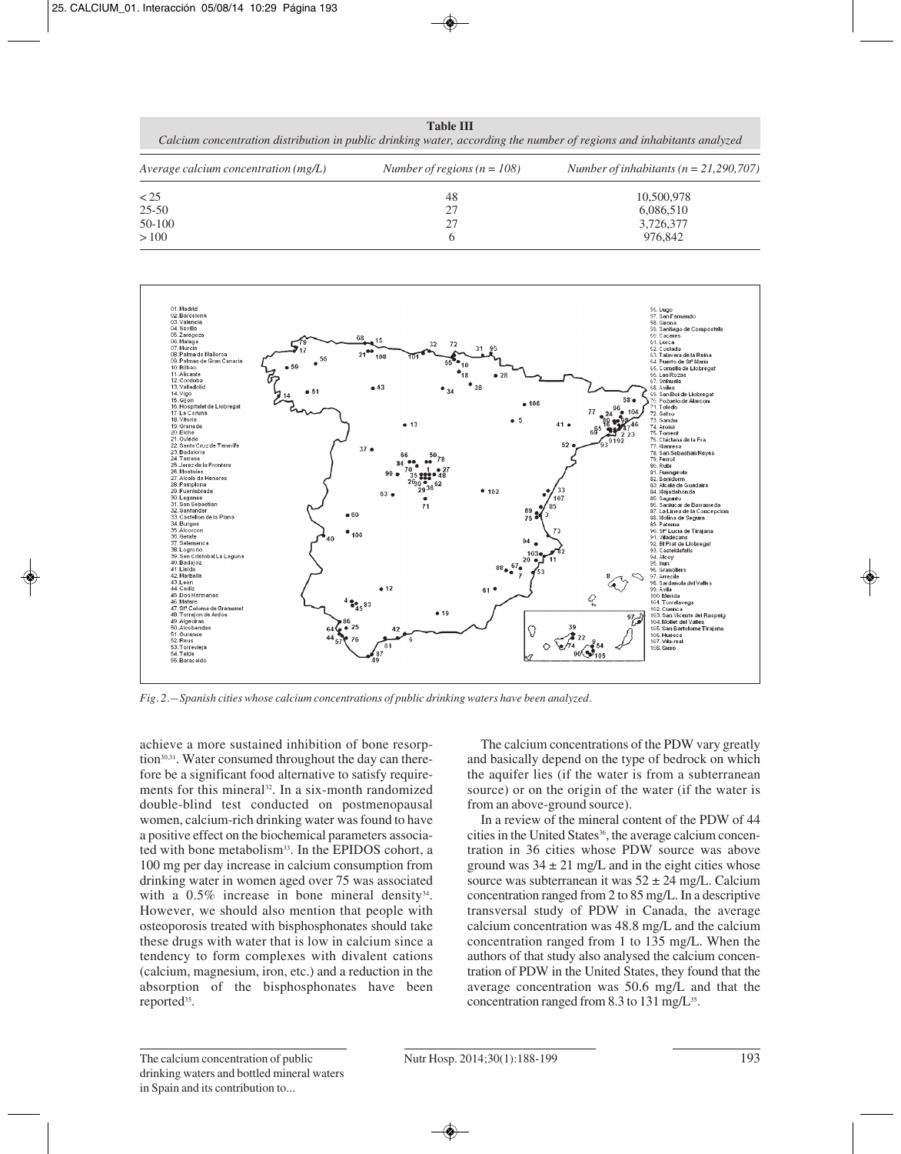|                                      | 1400 D                        | Calcium concentration distribution in public drinking water, according the number of regions and inhabitants analyzed |
|--------------------------------------|-------------------------------|-----------------------------------------------------------------------------------------------------------------------|
| Average calcium concentration (mg/L) | Number of regions $(n = 108)$ | Number of inhabitants ( $n = 21,290,707$ )                                                                            |
| < 25                                 | 48                            | 10,500,978                                                                                                            |
| $25 - 50$                            | 27                            | 6,086,510                                                                                                             |
| 50-100                               | 27                            | 3,726,377                                                                                                             |

 $> 100$  6 976,842

**Table III**



*Fig. 2.—Spanish cities whose calcium concentrations of public drinking waters have been analyzed.*

achieve a more sustained inhibition of bone resorption<sup>30,31</sup>. Water consumed throughout the day can therefore be a significant food alternative to satisfy requirements for this mineral<sup>32</sup>. In a six-month randomized double-blind test conducted on postmenopausal women, calcium-rich drinking water was found to have a positive effect on the biochemical parameters associa ted with bone metabolism<sup>33</sup>. In the EPIDOS cohort, a 100 mg per day increase in calcium consumption from drinking water in women aged over 75 was associated with a  $0.5\%$  increase in bone mineral density<sup>34</sup>. However, we should also mention that people with osteoporosis treated with bisphosphonates should take these drugs with water that is low in calcium since a tendency to form complexes with divalent cations (calcium, magnesium, iron, etc.) and a reduction in the absorption of the bisphosphonates have been reported<sup>35</sup>.

The calcium concentrations of the PDW vary greatly and basically depend on the type of bedrock on which the aquifer lies (if the water is from a subterranean source) or on the origin of the water (if the water is from an above-ground source).

In a review of the mineral content of the PDW of 44 cities in the United States<sup>36</sup>, the average calcium concentration in 36 cities whose PDW source was above ground was  $34 \pm 21$  mg/L and in the eight cities whose source was subterranean it was  $52 \pm 24$  mg/L. Calcium concentration ranged from 2 to 85 mg/L. In a descriptive transversal study of PDW in Canada, the average calcium concentration was 48.8 mg/L and the calcium concentration ranged from 1 to 135 mg/L. When the authors of that study also analysed the calcium concentration of PDW in the United States, they found that the average concentration was 50.6 mg/L and that the concentration ranged from 8.3 to 131 mg/L<sup>35</sup>.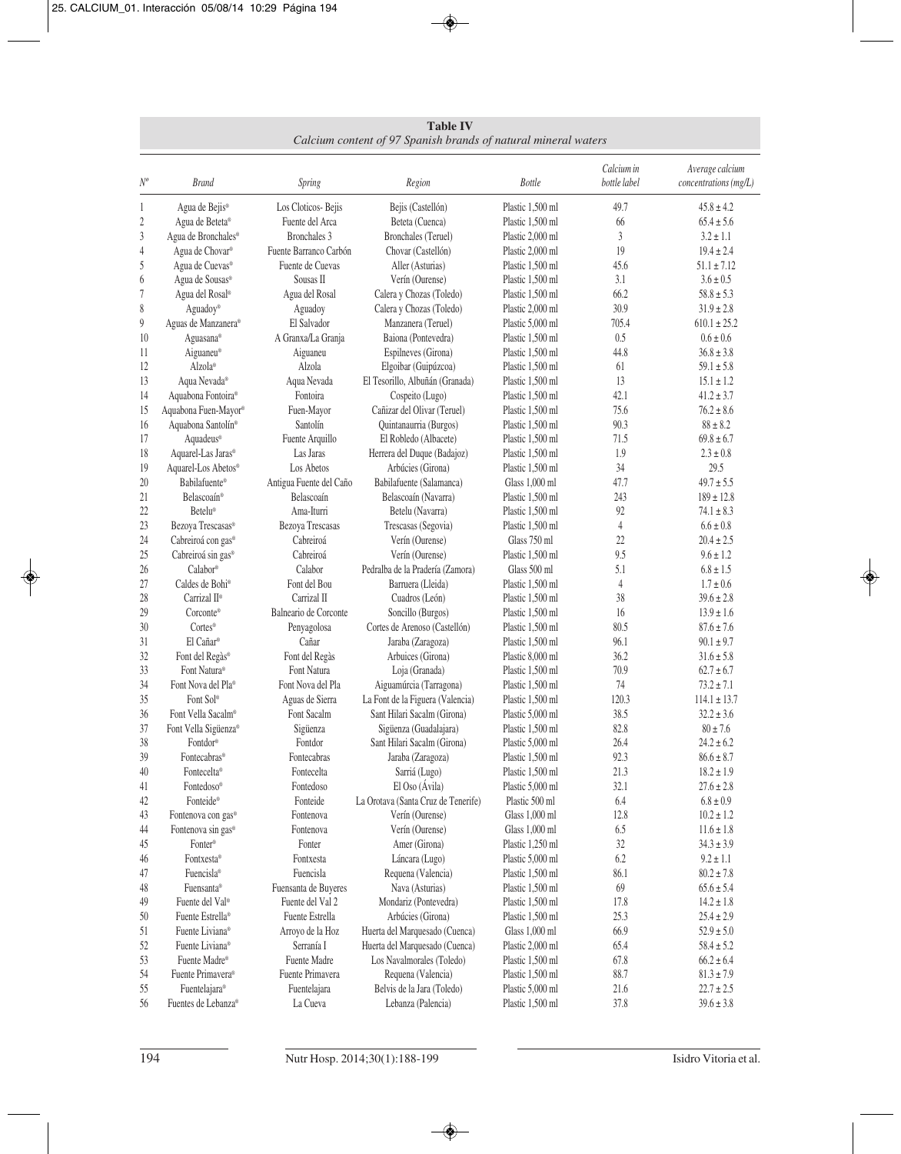**Table IV** *Calcium content of 97 Spanish brands of natural mineral waters*

| $N^o$            | <b>Brand</b>                            | Spring                  | Region                              | <b>Bottle</b>                        | Calcium in<br>bottle label | Average calcium<br>concentrations (mg/L) |
|------------------|-----------------------------------------|-------------------------|-------------------------------------|--------------------------------------|----------------------------|------------------------------------------|
| 1                | Agua de Bejis <sup>®</sup>              | Los Cloticos-Bejis      | Bejis (Castellón)                   | Plastic 1,500 ml                     | 49.7                       | $45.8 \pm 4.2$                           |
| $\boldsymbol{2}$ | Agua de Beteta®                         | Fuente del Arca         | Beteta (Cuenca)                     | Plastic 1,500 ml                     | 66                         | $65.4 \pm 5.6$                           |
| $\mathfrak{Z}$   | Agua de Bronchales®                     | Bronchales 3            | Bronchales (Teruel)                 | Plastic 2,000 ml                     | 3                          | $3.2 \pm 1.1$                            |
| $\overline{4}$   | Agua de Chovar <sup>®</sup>             | Fuente Barranco Carbón  | Chovar (Castellón)                  | Plastic 2,000 ml                     | 19                         | $19.4 \pm 2.4$                           |
| 5                | Agua de Cuevas®                         | Fuente de Cuevas        | Aller (Asturias)                    | Plastic 1,500 ml                     | 45.6                       | $51.1 \pm 7.12$                          |
| 6                | Agua de Sousas®                         | Sousas II               | Verín (Ourense)                     | Plastic 1,500 ml                     | 3.1                        | $3.6 \pm 0.5$                            |
| 7                | Agua del Rosal <sup>®</sup>             | Agua del Rosal          | Calera y Chozas (Toledo)            | Plastic 1,500 ml                     | 66.2                       | $58.8 \pm 5.3$                           |
| 8                | Aguadoy®                                | Aguadoy                 | Calera y Chozas (Toledo)            | Plastic 2,000 ml                     | 30.9                       | $31.9 \pm 2.8$                           |
| 9                | Aguas de Manzanera®                     | El Salvador             | Manzanera (Teruel)                  | Plastic 5,000 ml                     | 705.4                      | $610.1 \pm 25.2$                         |
| 10               | Aguasana®                               | A Granxa/La Granja      | Baiona (Pontevedra)                 | Plastic 1,500 ml                     | 0.5                        | $0.6 \pm 0.6$                            |
| 11               | Aiguaneu®                               | Aiguaneu                | Espilneves (Girona)                 | Plastic 1,500 ml                     | 44.8                       | $36.8 \pm 3.8$                           |
| 12               | Alzola <sup>®</sup>                     | Alzola                  | Elgoibar (Guipúzcoa)                | Plastic 1,500 ml                     | 61                         | $59.1 \pm 5.8$                           |
| 13               | Aqua Nevada®                            | Aqua Nevada             | El Tesorillo, Albuñán (Granada)     | Plastic 1,500 ml                     | 13                         | $15.1 \pm 1.2$                           |
| 14               | Aquabona Fontoira®                      | Fontoira                | Cospeito (Lugo)                     | Plastic 1,500 ml                     | 42.1                       | $41.2 \pm 3.7$                           |
| 15               | Aquabona Fuen-Mayor®                    | Fuen-Mayor              | Cañizar del Olivar (Teruel)         | Plastic 1,500 ml                     | 75.6                       | $76.2 \pm 8.6$                           |
| 16               | Aquabona Santolín®                      | Santolín                | Quintanaurria (Burgos)              | Plastic 1,500 ml                     | 90.3                       | $88 \pm 8.2$                             |
| 17               | Aquadeus®                               | Fuente Arquillo         | El Robledo (Albacete)               | Plastic 1,500 ml                     | 71.5                       | $69.8 \pm 6.7$                           |
| 18               | Aquarel-Las Jaras®                      | Las Jaras               | Herrera del Duque (Badajoz)         | Plastic 1,500 ml                     | 1.9                        | $2.3 \pm 0.8$                            |
| 19               | Aquarel-Los Abetos®                     | Los Abetos              | Arbúcies (Girona)                   | Plastic 1,500 ml                     | 34                         | 29.5                                     |
| 20               | Babilafuente <sup>®</sup>               | Antigua Fuente del Caño | Babilafuente (Salamanca)            | Glass 1,000 ml                       | 47.7                       | $49.7 \pm 5.5$                           |
| 21               | Belascoaín®                             | Belascoaín              | Belascoaín (Navarra)                | Plastic 1,500 ml                     | 243                        | $189 \pm 12.8$                           |
| 22               | Betelu <sup>®</sup>                     | Ama-Iturri              | Betelu (Navarra)                    | Plastic 1,500 ml                     | 92                         | $74.1 \pm 8.3$                           |
| 23               | Bezoya Trescasas®                       | Bezoya Trescasas        | Trescasas (Segovia)                 | Plastic 1,500 ml                     | 4                          | $6.6 \pm 0.8$                            |
| 24               | Cabreiroá con gas®                      | Cabreiroá               | Verín (Ourense)                     | Glass 750 ml                         | 22                         | $20.4 \pm 2.5$                           |
| 25               | Cabreiroá sin gas®                      | Cabreiroá               | Verín (Ourense)                     | Plastic 1,500 ml                     | 9.5                        | $9.6 \pm 1.2$                            |
| 26               | Calabor®                                | Calabor                 | Pedralba de la Pradería (Zamora)    | Glass 500 ml                         | 5.1                        | $6.8 \pm 1.5$                            |
| 27               | Caldes de Bohi®                         | Font del Bou            | Barruera (Lleida)                   | Plastic 1,500 ml                     | $\overline{4}$             | $1.7 \pm 0.6$                            |
| 28               | Carrizal II <sup>®</sup>                | Carrizal II             | Cuadros (León)                      | Plastic 1,500 ml                     | 38                         | $39.6 \pm 2.8$                           |
| 29               | Corconte®                               | Balneario de Corconte   | Soncillo (Burgos)                   | Plastic 1,500 ml                     | 16                         | $13.9 \pm 1.6$                           |
| 30               | Cortes <sup>®</sup>                     | Penyagolosa             | Cortes de Arenoso (Castellón)       | Plastic 1,500 ml                     | 80.5                       | $87.6 \pm 7.6$                           |
| 31               | El Cañar®                               | Cañar                   | Jaraba (Zaragoza)                   | Plastic 1,500 ml                     | 96.1                       | $90.1 \pm 9.7$                           |
| 32               | Font del Regàs®                         | Font del Regàs          | Arbuices (Girona)                   | Plastic 8,000 ml                     | 36.2                       | $31.6 \pm 5.8$                           |
| 33               | Font Natura <sup>®</sup>                | Font Natura             | Loja (Granada)                      | Plastic 1,500 ml                     | 70.9                       | $62.7 \pm 6.7$                           |
| 34               | Font Nova del Pla <sup>®</sup>          | Font Nova del Pla       | Aiguamúrcia (Tarragona)             | Plastic 1,500 ml                     | 74                         | $73.2 \pm 7.1$                           |
| 35               | Font Sol <sup>®</sup>                   | Aguas de Sierra         | La Font de la Figuera (Valencia)    | Plastic 1,500 ml                     | 120.3                      | $114.1 \pm 13.7$                         |
| 36               | Font Vella Sacalm®                      | Font Sacalm             | Sant Hilari Sacalm (Girona)         | Plastic 5,000 ml                     | 38.5                       | $32.2 \pm 3.6$                           |
| 37               | Font Vella Sigüenza®                    | Sigüenza                | Sigüenza (Guadalajara)              | Plastic 1,500 ml                     | 82.8                       | $80 \pm 7.6$                             |
| 38<br>39         | Fontdor®                                | Fontdor<br>Fontecabras  | Sant Hilari Sacalm (Girona)         | Plastic 5,000 ml                     | 26.4<br>92.3               | $24.2 \pm 6.2$                           |
| 40               | Fontecabras <sup>®</sup><br>Fontecelta® | Fontecelta              | Jaraba (Zaragoza)                   | Plastic 1,500 ml<br>Plastic 1,500 ml |                            | $86.6 \pm 8.7$                           |
| 41               | Fontedoso®                              | Fontedoso               | Sarriá (Lugo)<br>El Oso (Ávila)     | Plastic 5,000 ml                     | 21.3<br>32.1               | $18.2 \pm 1.9$<br>$27.6 \pm 2.8$         |
|                  | Fonteide®                               | Fonteide                | La Orotava (Santa Cruz de Tenerife) | Plastic 500 ml                       | 6.4                        | $6.8\pm0.9$                              |
| 42<br>43         | Fontenova con gas®                      | Fontenova               | Verín (Ourense)                     | Glass 1,000 ml                       | 12.8                       | $10.2 \pm 1.2$                           |
| 44               | Fontenova sin gas®                      | Fontenova               | Verín (Ourense)                     | Glass 1,000 ml                       | 6.5                        | $11.6 \pm 1.8$                           |
| 45               | Fonter®                                 | Fonter                  | Amer (Girona)                       | Plastic 1,250 ml                     | $32\,$                     | $34.3 \pm 3.9$                           |
| 46               | Fontxesta®                              | Fontxesta               | Láncara (Lugo)                      | Plastic 5,000 ml                     | 6.2                        | $9.2 \pm 1.1$                            |
| 47               | Fuencisla <sup>®</sup>                  | Fuencisla               | Requena (Valencia)                  | Plastic 1,500 ml                     | 86.1                       | $80.2 \pm 7.8$                           |
| 48               | Fuensanta®                              | Fuensanta de Buyeres    | Nava (Asturias)                     | Plastic 1,500 ml                     | 69                         | $65.6 \pm 5.4$                           |
| 49               | Fuente del Val <sup>®</sup>             | Fuente del Val 2        | Mondariz (Pontevedra)               | Plastic 1,500 ml                     | 17.8                       | $14.2 \pm 1.8$                           |
| 50               | Fuente Estrella <sup>®</sup>            | Fuente Estrella         | Arbúcies (Girona)                   | Plastic 1,500 ml                     | 25.3                       | $25.4 \pm 2.9$                           |
| 51               | Fuente Liviana®                         | Arroyo de la Hoz        | Huerta del Marquesado (Cuenca)      | Glass 1,000 ml                       | 66.9                       | $52.9 \pm 5.0$                           |
| 52               | Fuente Liviana®                         | Serranía I              | Huerta del Marquesado (Cuenca)      | Plastic 2,000 ml                     | 65.4                       | $58.4 \pm 5.2$                           |
| 53               | Fuente Madre®                           | Fuente Madre            | Los Navalmorales (Toledo)           | Plastic 1,500 ml                     | 67.8                       | $66.2 \pm 6.4$                           |
| 54               | Fuente Primavera®                       | Fuente Primavera        | Requena (Valencia)                  | Plastic 1,500 ml                     | 88.7                       | $81.3 \pm 7.9$                           |
| 55               | Fuentelajara®                           | Fuentelajara            | Belvis de la Jara (Toledo)          | Plastic 5,000 ml                     | 21.6                       | $22.7 \pm 2.5$                           |
| 56               | Fuentes de Lebanza®                     | La Cueva                | Lebanza (Palencia)                  | Plastic 1,500 ml                     | 37.8                       | $39.6 \pm 3.8$                           |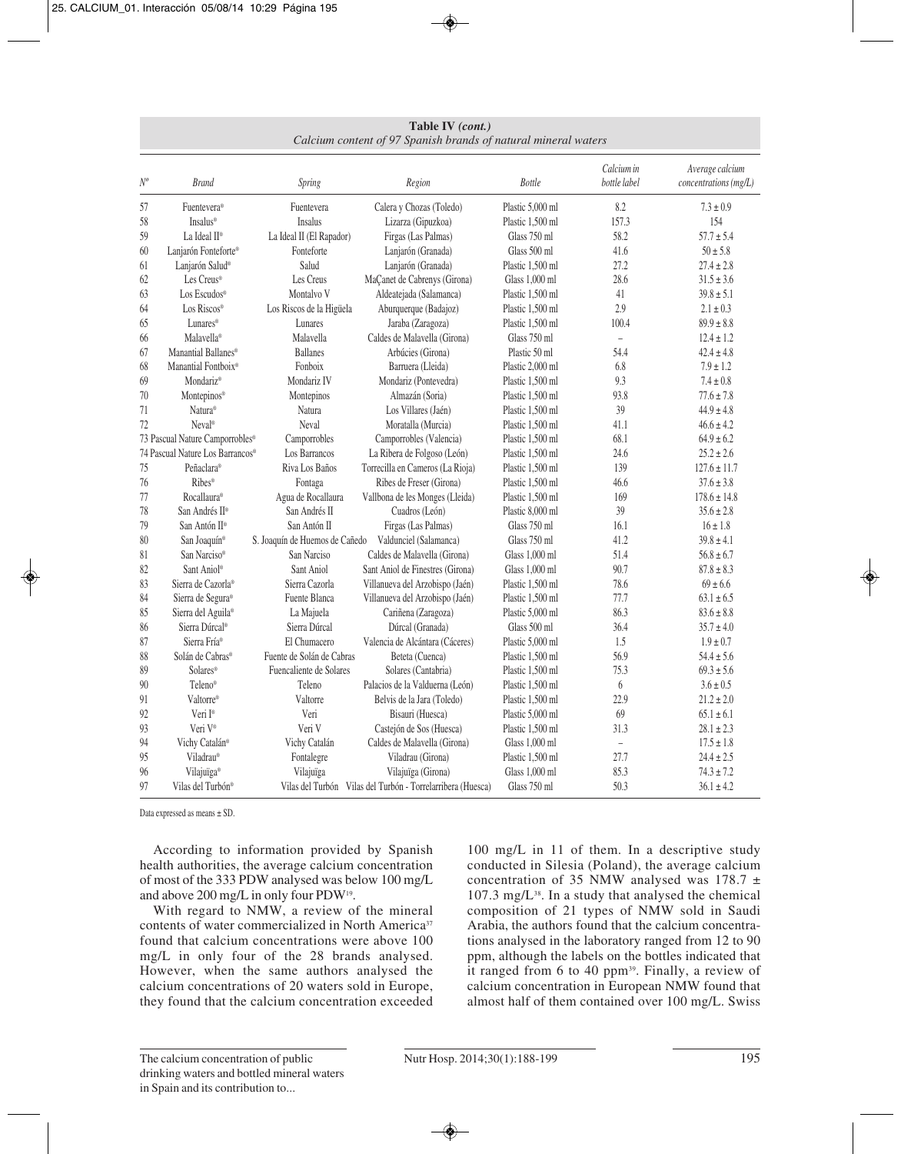| Table IV (cont.)                                               |
|----------------------------------------------------------------|
| Calcium content of 97 Spanish brands of natural mineral waters |

| $N^o$ | <b>Brand</b>                     | Spring                         | Region                                                      | <b>Bottle</b>    | Calcium in<br>bottle label | Average calcium<br>concentrations (mg/L) |
|-------|----------------------------------|--------------------------------|-------------------------------------------------------------|------------------|----------------------------|------------------------------------------|
| 57    | Fuentevera®                      | Fuentevera                     | Calera y Chozas (Toledo)                                    | Plastic 5,000 ml | 8.2                        | $7.3 \pm 0.9$                            |
| 58    | <b>Insalus®</b>                  | Insalus                        | Lizarza (Gipuzkoa)                                          | Plastic 1,500 ml | 157.3                      | 154                                      |
| 59    | La Ideal II <sup>®</sup>         | La Ideal II (El Rapador)       | Firgas (Las Palmas)                                         | Glass 750 ml     | 58.2                       | $57.7 \pm 5.4$                           |
| 60    | Lanjarón Fonteforte®             | Fonteforte                     | Lanjarón (Granada)                                          | Glass 500 ml     | 41.6                       | $50 \pm 5.8$                             |
| 61    | Lanjarón Salud <sup>®</sup>      | Salud                          | Lanjarón (Granada)                                          | Plastic 1,500 ml | 27.2                       | $27.4 \pm 2.8$                           |
| 62    | Les Creus®                       | Les Creus                      | MaÇanet de Cabrenys (Girona)                                | Glass 1,000 ml   | 28.6                       | $31.5 \pm 3.6$                           |
| 63    | Los Escudos <sup>®</sup>         | Montalvo V                     | Aldeatejada (Salamanca)                                     | Plastic 1,500 ml | 41                         | $39.8 \pm 5.1$                           |
| 64    | Los Riscos®                      | Los Riscos de la Higüela       | Aburquerque (Badajoz)                                       | Plastic 1,500 ml | 2.9                        | $2.1 \pm 0.3$                            |
| 65    | Lunares®                         | Lunares                        | Jaraba (Zaragoza)                                           | Plastic 1,500 ml | 100.4                      | $89.9 \pm 8.8$                           |
| 66    | Malavella <sup>®</sup>           | Malavella                      | Caldes de Malavella (Girona)                                | Glass 750 ml     | $\frac{1}{2}$              | $12.4 \pm 1.2$                           |
| 67    | Manantial Ballanes®              | <b>Ballanes</b>                | Arbúcies (Girona)                                           | Plastic 50 ml    | 54.4                       | $42.4 \pm 4.8$                           |
| 68    | Manantial Fontboix <sup>®</sup>  | Fonboix                        | Barruera (Lleida)                                           | Plastic 2,000 ml | 6.8                        | $7.9 \pm 1.2$                            |
| 69    | Mondariz <sup>®</sup>            | Mondariz IV                    | Mondariz (Pontevedra)                                       | Plastic 1,500 ml | 9.3                        | $7.4 \pm 0.8$                            |
| 70    | Montepinos®                      | Montepinos                     | Almazán (Soria)                                             | Plastic 1,500 ml | 93.8                       | $77.6 \pm 7.8$                           |
| 71    | Natura <sup>®</sup>              | Natura                         | Los Villares (Jaén)                                         | Plastic 1,500 ml | 39                         | $44.9 \pm 4.8$                           |
| 72    | Neval <sup>®</sup>               | Neval                          | Moratalla (Murcia)                                          | Plastic 1,500 ml | 41.1                       | $46.6 \pm 4.2$                           |
|       | 73 Pascual Nature Camporrobles®  | Camporrobles                   | Camporrobles (Valencia)                                     | Plastic 1,500 ml | 68.1                       | $64.9 \pm 6.2$                           |
|       | 74 Pascual Nature Los Barrancos® | Los Barrancos                  | La Ribera de Folgoso (León)                                 | Plastic 1,500 ml | 24.6                       | $25.2 \pm 2.6$                           |
| 75    | Peñaclara®                       | Riva Los Baños                 | Torrecilla en Cameros (La Rioja)                            | Plastic 1,500 ml | 139                        | $127.6 \pm 11.7$                         |
| 76    | Ribes®                           | Fontaga                        | Ribes de Freser (Girona)                                    | Plastic 1,500 ml | 46.6                       | $37.6 \pm 3.8$                           |
| 77    | Rocallaura®                      | Agua de Rocallaura             | Vallbona de les Monges (Lleida)                             | Plastic 1,500 ml | 169                        | $178.6 \pm 14.8$                         |
| 78    | San Andrés II <sup>®</sup>       | San Andrés II                  | Cuadros (León)                                              | Plastic 8,000 ml | 39                         | $35.6 \pm 2.8$                           |
| 79    | San Antón II <sup>®</sup>        | San Antón II                   | Firgas (Las Palmas)                                         | Glass 750 ml     | 16.1                       | $16 \pm 1.8$                             |
| 80    | San Joaquín <sup>®</sup>         | S. Joaquín de Huemos de Cañedo | Valdunciel (Salamanca)                                      | Glass 750 ml     | 41.2                       | $39.8 \pm 4.1$                           |
| 81    | San Narciso <sup>®</sup>         | San Narciso                    | Caldes de Malavella (Girona)                                | Glass 1,000 ml   | 51.4                       | $56.8 \pm 6.7$                           |
| 82    | Sant Aniol®                      | Sant Aniol                     | Sant Aniol de Finestres (Girona)                            | Glass 1,000 ml   | 90.7                       | $87.8 \pm 8.3$                           |
| 83    | Sierra de Cazorla®               | Sierra Cazorla                 | Villanueva del Arzobispo (Jaén)                             | Plastic 1,500 ml | 78.6                       | $69 \pm 6.6$                             |
| 84    | Sierra de Segura®                | Fuente Blanca                  | Villanueva del Arzobispo (Jaén)                             | Plastic 1,500 ml | 77.7                       | $63.1 \pm 6.5$                           |
| 85    | Sierra del Aguila®               | La Majuela                     | Cariñena (Zaragoza)                                         | Plastic 5,000 ml | 86.3                       | $83.6 \pm 8.8$                           |
| 86    | Sierra Dúrcal <sup>®</sup>       | Sierra Dúrcal                  | Dúrcal (Granada)                                            | Glass 500 ml     | 36.4                       | $35.7 \pm 4.0$                           |
| 87    | Sierra Fría <sup>®</sup>         | El Chumacero                   | Valencia de Alcántara (Cáceres)                             | Plastic 5,000 ml | 1.5                        | $1.9 \pm 0.7$                            |
| 88    | Solán de Cabras <sup>®</sup>     | Fuente de Solán de Cabras      | Beteta (Cuenca)                                             | Plastic 1,500 ml | 56.9                       | $54.4 \pm 5.6$                           |
| 89    | Solares <sup>®</sup>             | Fuencaliente de Solares        | Solares (Cantabria)                                         | Plastic 1,500 ml | 75.3                       | $69.3 \pm 5.6$                           |
| 90    | Teleno®                          | Teleno                         | Palacios de la Valduerna (León)                             | Plastic 1,500 ml | 6                          | $3.6 \pm 0.5$                            |
| 91    | Valtorre®                        | Valtorre                       | Belvis de la Jara (Toledo)                                  | Plastic 1,500 ml | 22.9                       | $21.2 \pm 2.0$                           |
| 92    | Veri I®                          | Veri                           | Bisauri (Huesca)                                            | Plastic 5,000 ml | 69                         | $65.1 \pm 6.1$                           |
| 93    | Veri V®                          | Veri V                         | Castejón de Sos (Huesca)                                    | Plastic 1,500 ml | 31.3                       | $28.1 \pm 2.3$                           |
| 94    | Vichy Catalán®                   | Vichy Catalán                  | Caldes de Malavella (Girona)                                | Glass 1,000 ml   | $\equiv$                   | $17.5 \pm 1.8$                           |
| 95    | Viladrau®                        | Fontalegre                     | Viladrau (Girona)                                           | Plastic 1,500 ml | 27.7                       | $24.4 \pm 2.5$                           |
| 96    | Vilajuïga®                       | Vilajuïga                      | Vilajuïga (Girona)                                          | Glass 1,000 ml   | 85.3                       | $74.3 \pm 7.2$                           |
| 97    | Vilas del Turbón <sup>®</sup>    |                                | Vilas del Turbón Vilas del Turbón - Torrelarribera (Huesca) | Glass 750 ml     | 50.3                       | $36.1 \pm 4.2$                           |

Data expressed as means ± SD.

According to information provided by Spanish health authorities, the average calcium concentration of most of the 333 PDW analysed was below 100 mg/L and above 200 mg/L in only four PDW19.

With regard to NMW, a review of the mineral contents of water commercialized in North America<sup>37</sup> found that calcium concentrations were above 100 mg/L in only four of the 28 brands analysed. However, when the same authors analysed the calcium concentrations of 20 waters sold in Europe, they found that the calcium concentration exceeded 100 mg/L in 11 of them. In a descriptive study conducted in Silesia (Poland), the average calcium concentration of 35 NMW analysed was 178.7  $\pm$  $107.3 \text{ mg/L}^{38}$ . In a study that analysed the chemical composition of 21 types of NMW sold in Saudi Arabia, the authors found that the calcium concentrations analysed in the laboratory ranged from 12 to 90 ppm, although the labels on the bottles indicated that it ranged from 6 to 40 ppm<sup>39</sup>. Finally, a review of calcium concentration in European NMW found that almost half of them contained over 100 mg/L. Swiss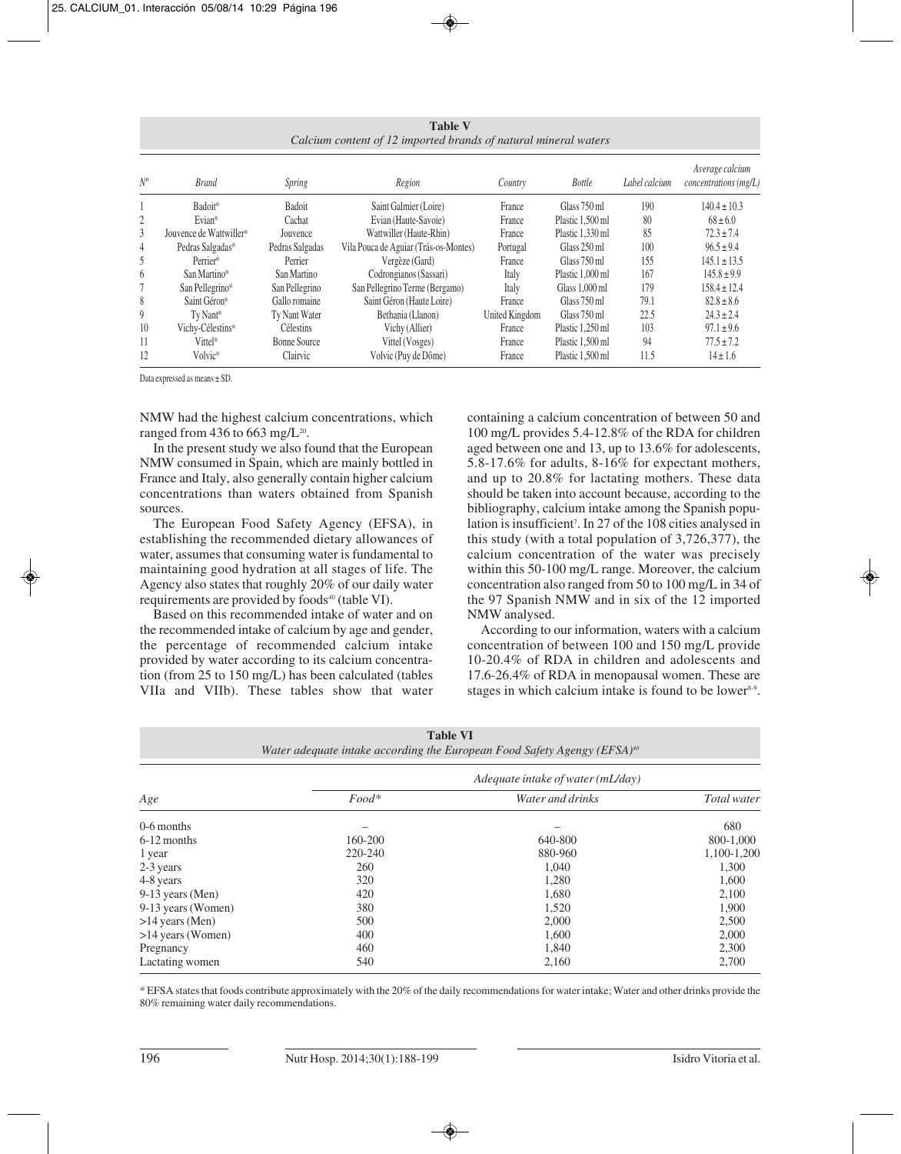**Table V** *Calcium content of 12 imported brands of natural mineral waters*

| $N^o$ | <b>Brand</b>                        | <b>Spring</b>   | Region                                | Country        | <b>Bottle</b>    | Label calcium | Average calcium<br>$concentrations$ (mg/L) |
|-------|-------------------------------------|-----------------|---------------------------------------|----------------|------------------|---------------|--------------------------------------------|
|       | Badoit®                             | <b>Badoit</b>   | Saint Galmier (Loire)                 | France         | Glass 750 ml     | 190           | $140.4 \pm 10.3$                           |
| 2     | Evian <sup>®</sup>                  | Cachat          | Evian (Haute-Savoie)                  | France         | Plastic 1.500 ml | 80            | $68 \pm 6.0$                               |
| 3     | Jouvence de Wattwiller <sup>®</sup> | Jouvence        | Wattwiller (Haute-Rhin)               | France         | Plastic 1.330 ml | 85            | $72.3 \pm 7.4$                             |
| 4     | Pedras Salgadas®                    | Pedras Salgadas | Vila Pouca de Aguiar (Trás-os-Montes) | Portugal       | Glass 250 ml     | 100           | $96.5 \pm 9.4$                             |
| 5     | Perrier <sup>®</sup>                | Perrier         | Vergèze (Gard)                        | France         | Glass 750 ml     | 155           | $145.1 \pm 13.5$                           |
| 6     | San Martino <sup>®</sup>            | San Martino     | Codrongianos (Sassari)                | Italy          | Plastic 1.000 ml | 167           | $145.8 \pm 9.9$                            |
|       | San Pellegrino <sup>®</sup>         | San Pellegrino  | San Pellegrino Terme (Bergamo)        | Italy          | Glass 1,000 ml   | 179           | $158.4 \pm 12.4$                           |
| 8     | Saint Géron <sup>®</sup>            | Gallo romaine   | Saint Géron (Haute Loire)             | France         | Glass 750 ml     | 79.1          | $82.8 \pm 8.6$                             |
| 9     | Tv Nant <sup>®</sup>                | Tv Nant Water   | Bethania (Llanon)                     | United Kingdom | Glass 750 ml     | 22.5          | $24.3 \pm 2.4$                             |
| 10    | Vichy-Célestins®                    | Célestins       | Vichy (Allier)                        | France         | Plastic 1.250 ml | 103           | $97.1 \pm 9.6$                             |
| 11    | Vittel <sup>®</sup>                 | Bonne Source    | Vittel (Vosges)                       | France         | Plastic 1.500 ml | 94            | $77.5 \pm 7.2$                             |
| 12    | Volvic <sup>®</sup>                 | Clairvic        | Volvic (Puy de Dôme)                  | France         | Plastic 1.500 ml | 11.5          | $14 \pm 1.6$                               |

Data expressed as means ± SD.

NMW had the highest calcium concentrations, which ranged from 436 to 663 mg/ $L^{20}$ .

In the present study we also found that the European NMW consumed in Spain, which are mainly bottled in France and Italy, also generally contain higher calcium concentrations than waters obtained from Spanish sources.

The European Food Safety Agency (EFSA), in establishing the recommended dietary allowances of water, assumes that consuming water is fundamental to maintaining good hydration at all stages of life. The Agency also states that roughly 20% of our daily water requirements are provided by foods<sup>40</sup> (table VI).

Based on this recommended intake of water and on the recommended intake of calcium by age and gender, the percentage of recommended calcium intake provided by water according to its calcium concentration (from 25 to 150 mg/L) has been calculated (tables VIIa and VIIb). These tables show that water containing a calcium concentration of between 50 and 100 mg/L provides 5.4-12.8% of the RDA for children aged between one and 13, up to 13.6% for adolescents, 5.8-17.6% for adults, 8-16% for expectant mothers, and up to 20.8% for lactating mothers. These data should be taken into account because, according to the bibliography, calcium intake among the Spanish population is insufficient<sup>7</sup>. In 27 of the 108 cities analysed in this study (with a total population of 3,726,377), the calcium concentration of the water was precisely within this 50-100 mg/L range. Moreover, the calcium concentration also ranged from 50 to 100 mg/L in 34 of the 97 Spanish NMW and in six of the 12 imported NMW analysed.

According to our information, waters with a calcium concentration of between 100 and 150 mg/L provide 10-20.4% of RDA in children and adolescents and 17.6-26.4% of RDA in menopausal women. These are stages in which calcium intake is found to be lower<sup>8-9</sup>.

|                     | <b>Table VI</b> | Water adequate intake according the European Food Safety Agengy (EFSA) $t^0$ |             |
|---------------------|-----------------|------------------------------------------------------------------------------|-------------|
|                     |                 | Adequate intake of water $(mL/day)$                                          |             |
| Age                 | $Food*$         | Water and drinks                                                             | Total water |
| 0-6 months          |                 |                                                                              | 680         |
| 6-12 months         | 160-200         | 640-800                                                                      | 800-1.000   |
| 1 year              | 220-240         | 880-960                                                                      | 1,100-1,200 |
| 2-3 years           | 260             | 1.040                                                                        | 1,300       |
| 4-8 years           | 320             | 1,280                                                                        | 1,600       |
| 9-13 years (Men)    | 420             | 1,680                                                                        | 2,100       |
| 9-13 years (Women)  | 380             | 1,520                                                                        | 1,900       |
| $>14$ years (Men)   | 500             | 2,000                                                                        | 2,500       |
| $>14$ years (Women) | 400             | 1.600                                                                        | 2,000       |
| Pregnancy           | 460             | 1.840                                                                        | 2,300       |
| Lactating women     | 540             | 2,160                                                                        | 2,700       |

\* EFSA states that foods contribute approximately with the 20% of the daily recommendations for water intake; Water and other drinks provide the 80% remaining water daily recommendations.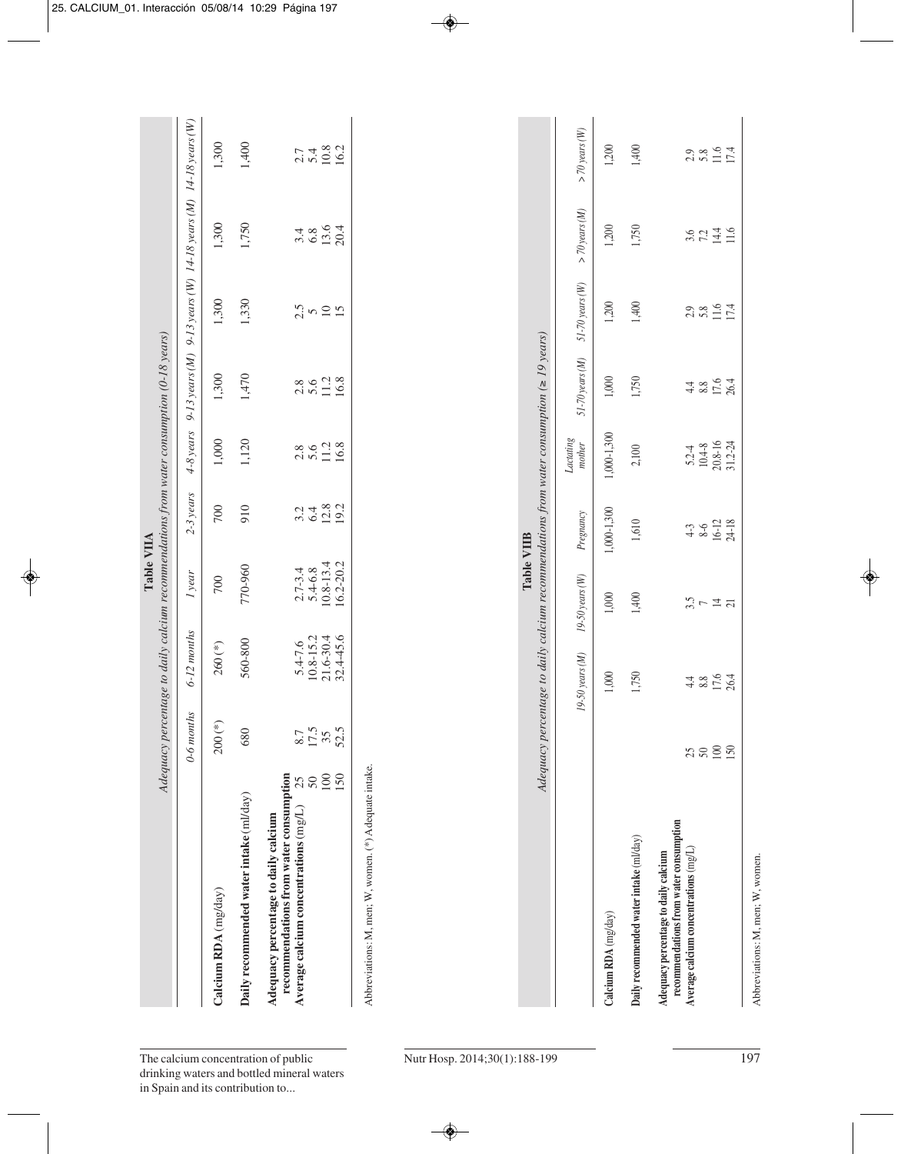|                                                                                                                                                        |                             |                                                            |                                                          | Table VIIA                   |                       | Adequacy percentage to daily calcium recommendations from water consumption (0-18 years)       |                       |                                                                     |                    |
|--------------------------------------------------------------------------------------------------------------------------------------------------------|-----------------------------|------------------------------------------------------------|----------------------------------------------------------|------------------------------|-----------------------|------------------------------------------------------------------------------------------------|-----------------------|---------------------------------------------------------------------|--------------------|
|                                                                                                                                                        | 0-6 months                  | 6-12 months                                                | I year                                                   | $2-3$ years                  | $4-8$ years           |                                                                                                |                       | 9-13 years (M) $9-13$ years (W) $14-18$ years (M) $14-18$ years (W) |                    |
| Calcium RDA (mg/day)                                                                                                                                   | $200$ (*)                   | $260$ (*)                                                  | 700                                                      | 700                          | 1,000                 | 1,300                                                                                          | 1,300                 | 1,300                                                               | 1,300              |
| Daily recommended water intake (ml/day)                                                                                                                | 680                         | 560-800                                                    | 770-960                                                  | 910                          | 1,120                 | 1,470                                                                                          | 1,330                 | 1,750                                                               | 1,400              |
| 100<br>150<br>recommendations from water consumption<br>$50\,$<br>25<br>A verage calcium concentrations (mg/L)<br>Adequacy percentage to daily calcium | 17.5<br>52.5<br>8.7<br>$35$ | $32.4 - 45.6$<br>10.8-15.2<br>$21.6 - 30.4$<br>$5.4 - 7.6$ | $10.8 - 13.4$<br>16.2-20.2<br>$2.7 - 3.4$<br>$5.4 - 6.8$ | $12.8$<br>19.2<br>6.4<br>3.2 | 11.2<br>2.8<br>5.6    | 11.2<br>2.8<br>5.6                                                                             | 2.5<br>$\frac{0}{15}$ | $13.6$<br>20.4<br>3.4<br>6.8                                        | 10.8<br>5.4<br>2.7 |
|                                                                                                                                                        |                             |                                                            |                                                          |                              |                       |                                                                                                |                       |                                                                     |                    |
| Abbreviations: M, men; W, women. (*) Adequate intake.                                                                                                  |                             |                                                            |                                                          |                              |                       |                                                                                                |                       |                                                                     |                    |
|                                                                                                                                                        |                             |                                                            |                                                          |                              |                       |                                                                                                |                       |                                                                     |                    |
|                                                                                                                                                        |                             |                                                            |                                                          | Table VIIB                   |                       | Adequacy percentage to daily calcium recommendations from water consumption ( $\geq 19$ years) |                       |                                                                     |                    |
|                                                                                                                                                        |                             | 19-50 years (M)                                            | $19-50$ years $(W)$                                      | Pregnancy                    | $Lactating$<br>mother | $51-70 years (M)$                                                                              | $51-70$ years $(W)$   | $>$ 70 years (M)                                                    | $>$ 70 years (W)   |
| Calcium RDA (mg/day)                                                                                                                                   |                             | 1,000                                                      | 1,000                                                    | 1,000-1,300                  | 1,000-1,300           | 1,000                                                                                          | 1,200                 | 1,200                                                               | 1,200              |
| Daily recommended water intake (ml/day)                                                                                                                |                             | 1,750                                                      | 1,400                                                    | 1,610                        | 2,100                 | 1,750                                                                                          | 1,400                 | 1,750                                                               | 1,400              |
| recommendations from water consumption<br>Average calcium concentrations $(mg/L)$<br>Adequacy percentage to daily calcium                              | 25                          | 4.4                                                        | 3.5                                                      | $4 - 3$                      | $5.2 - 4$             | 4.4                                                                                            | 2.9                   | 3.6                                                                 | 2.9                |

50 8.8 7 8-6 10.4-8 8.8 5.8 7.2 5.8 100 17.6 14 16-12 20.8-16 17.6 11.6 14.4 11.6 150 26.4 21 24-18 31.2-24 26.4 17.4 11.6 17.4

 $\begin{array}{c} 5.24 \\ 10.48 \\ 20.8 - 16 \\ 31.2 - 24 \end{array}$ 

 $4-3$ <br> $8-6$ <br> $16-12$ <br> $24-18$ 

 $\frac{3.5}{7} \approx \frac{1}{24}$ 

 $48004$ <br> $7804$ 

 $3890$ 

 $2.8$ <br> $5.8$ <br> $17.4$ 

 $30240$ <br> $7440$ <br> $116$ 

 $2.8$ <br> $5.8$ <br> $1.4$ <br> $17.4$ 

 $\frac{4852}{3854}$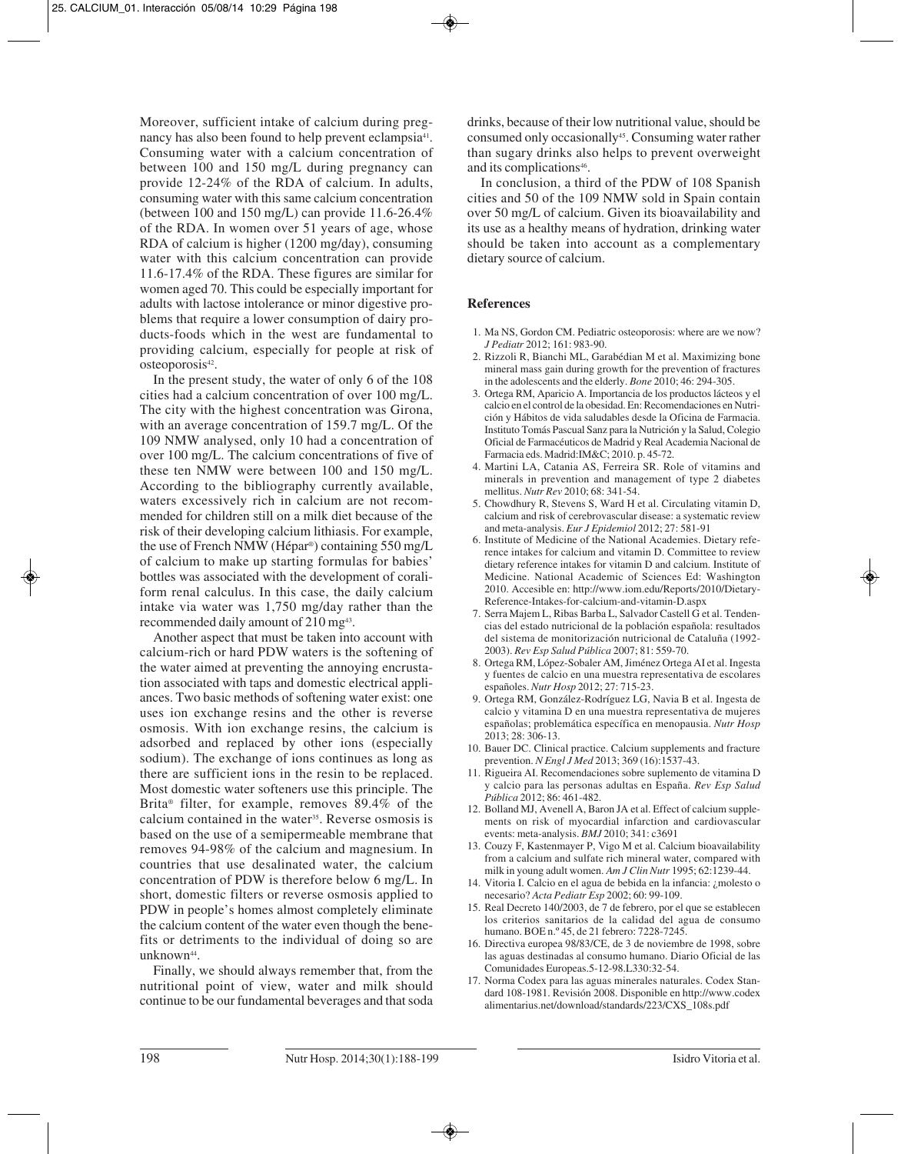Moreover, sufficient intake of calcium during pregnancy has also been found to help prevent eclampsia<sup>41</sup>. Consuming water with a calcium concentration of between 100 and 150 mg/L during pregnancy can provide 12-24% of the RDA of calcium. In adults, consuming water with this same calcium concentration (between 100 and 150 mg/L) can provide 11.6-26.4% of the RDA. In women over 51 years of age, whose RDA of calcium is higher (1200 mg/day), consuming water with this calcium concentration can provide 11.6-17.4% of the RDA. These figures are similar for women aged 70. This could be especially important for adults with lactose intolerance or minor digestive problems that require a lower consumption of dairy products-foods which in the west are fundamental to providing calcium, especially for people at risk of osteoporosis<sup>42</sup>.

In the present study, the water of only 6 of the 108 cities had a calcium concentration of over 100 mg/L. The city with the highest concentration was Girona, with an average concentration of 159.7 mg/L. Of the 109 NMW analysed, only 10 had a concentration of over 100 mg/L. The calcium concentrations of five of these ten NMW were between 100 and 150 mg/L. According to the bibliography currently available, waters excessively rich in calcium are not recommended for children still on a milk diet because of the risk of their developing calcium lithiasis. For example, the use of French NMW (Hépar®) containing 550 mg/L of calcium to make up starting formulas for babies' bottles was associated with the development of coraliform renal calculus. In this case, the daily calcium intake via water was 1,750 mg/day rather than the recommended daily amount of 210 mg<sup>43</sup>.

Another aspect that must be taken into account with calcium-rich or hard PDW waters is the softening of the water aimed at preventing the annoying encrustation associated with taps and domestic electrical appliances. Two basic methods of softening water exist: one uses ion exchange resins and the other is reverse osmosis. With ion exchange resins, the calcium is adsorbed and replaced by other ions (especially sodium). The exchange of ions continues as long as there are sufficient ions in the resin to be replaced. Most domestic water softeners use this principle. The Brita® filter, for example, removes 89.4% of the calcium contained in the water<sup>35</sup>. Reverse osmosis is based on the use of a semipermeable membrane that removes 94-98% of the calcium and magnesium. In countries that use desalinated water, the calcium concentration of PDW is therefore below 6 mg/L. In short, domestic filters or reverse osmosis applied to PDW in people's homes almost completely eliminate the calcium content of the water even though the benefits or detriments to the individual of doing so are unknown<sup>44</sup>.

Finally, we should always remember that, from the nutritional point of view, water and milk should continue to be our fundamental beverages and that soda

drinks, because of their low nutritional value, should be consumed only occasionally45. Consuming water rather than sugary drinks also helps to prevent overweight and its complications<sup>46</sup>.

In conclusion, a third of the PDW of 108 Spanish cities and 50 of the 109 NMW sold in Spain contain over 50 mg/L of calcium. Given its bioavailability and its use as a healthy means of hydration, drinking water should be taken into account as a complementary dietary source of calcium.

## **References**

- 1. Ma NS, Gordon CM. Pediatric osteoporosis: where are we now? *J Pediatr* 2012; 161: 983-90.
- 2. Rizzoli R, Bianchi ML, Garabédian M et al. Maximizing bone mineral mass gain during growth for the prevention of fractures in the adolescents and the elderly. *Bone* 2010; 46: 294-305.
- 3. Ortega RM, Aparicio A. Importancia de los productos lácteos y el calcio en el control de la obesidad. En: Recomendaciones en Nutrición y Hábitos de vida saludables desde la Oficina de Farmacia. Instituto Tomás Pascual Sanz para la Nutrición y la Salud, Colegio Oficial de Farmacéuticos de Madrid y Real Academia Nacional de Farmacia eds. Madrid:IM&C; 2010. p. 45-72.
- 4. Martini LA, Catania AS, Ferreira SR. Role of vitamins and minerals in prevention and management of type 2 diabetes mellitus. *Nutr Rev* 2010; 68: 341-54.
- 5. Chowdhury R, Stevens S, Ward H et al. Circulating vitamin D, calcium and risk of cerebrovascular disease: a systematic review and meta-analysis. *Eur J Epidemiol* 2012; 27: 581-91
- 6. Institute of Medicine of the National Academies. Dietary refe rence intakes for calcium and vitamin D. Committee to review dietary reference intakes for vitamin D and calcium. Institute of Medicine. National Academic of Sciences Ed: Washington 2010. Accesible en: http://www.iom.edu/Reports/2010/Dietary-Reference-Intakes-for-calcium-and-vitamin-D.aspx
- 7. Serra Majem L, Ribas Barba L, Salvador Castell G et al. Tendencias del estado nutricional de la población española: resultados del sistema de monitorización nutricional de Cataluña (1992- 2003). *Rev Esp Salud Pública* 2007; 81: 559-70.
- 8. Ortega RM, López-Sobaler AM, Jiménez Ortega AI et al. Ingesta y fuentes de calcio en una muestra representativa de escolares españoles. *Nutr Hosp* 2012; 27: 715-23.
- 9. Ortega RM, González-Rodríguez LG, Navia B et al. Ingesta de calcio y vitamina D en una muestra representativa de mujeres españolas; problemática específica en menopausia. *Nutr Hosp* 2013; 28: 306-13.
- 10. Bauer DC. Clinical practice. Calcium supplements and fracture prevention. *N Engl J Med* 2013; 369 (16):1537-43.
- 11. Rigueira AI. Recomendaciones sobre suplemento de vitamina D y calcio para las personas adultas en España. *Rev Esp Salud Pública* 2012; 86: 461-482.
- 12. Bolland MJ, Avenell A, Baron JA et al. Effect of calcium supplements on risk of myocardial infarction and cardiovascular events: meta-analysis. *BMJ* 2010; 341: c3691
- 13. Couzy F, Kastenmayer P, Vigo M et al. Calcium bioavailability from a calcium and sulfate rich mineral water, compared with milk in young adult women. *Am J Clin Nutr* 1995; 62:1239-44.
- 14. Vitoria I. Calcio en el agua de bebida en la infancia: ¿molesto o necesario? *Acta Pediatr Esp* 2002; 60: 99-109.
- 15. Real Decreto 140/2003, de 7 de febrero, por el que se establecen los criterios sanitarios de la calidad del agua de consumo humano. BOE n.º 45, de 21 febrero: 7228-7245.
- 16. Directiva europea 98/83/CE, de 3 de noviembre de 1998, sobre las aguas destinadas al consumo humano. Diario Oficial de las Comunidades Europeas.5-12-98.L330:32-54.
- 17. Norma Codex para las aguas minerales naturales. Codex Standard 108-1981. Revisión 2008. Disponible en http://www.codex alimentarius.net/download/standards/223/CXS\_108s.pdf